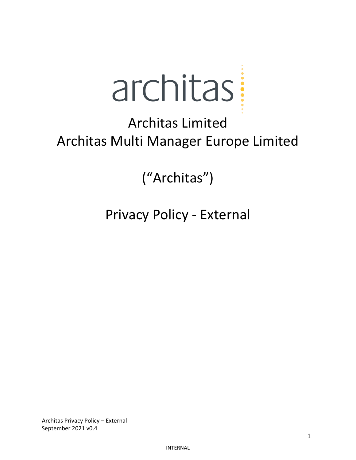

# Architas Limited Architas Multi Manager Europe Limited

("Architas")

Privacy Policy - External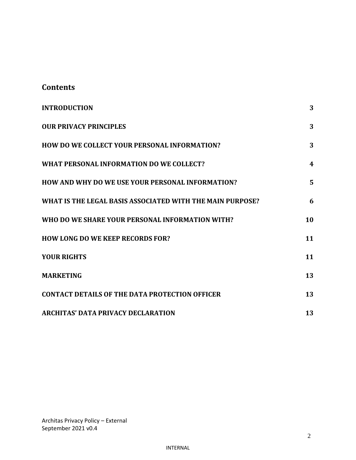## **Contents**

| <b>INTRODUCTION</b>                                       | 3                |
|-----------------------------------------------------------|------------------|
| <b>OUR PRIVACY PRINCIPLES</b>                             | 3                |
| HOW DO WE COLLECT YOUR PERSONAL INFORMATION?              | 3                |
| WHAT PERSONAL INFORMATION DO WE COLLECT?                  | $\boldsymbol{4}$ |
| <b>HOW AND WHY DO WE USE YOUR PERSONAL INFORMATION?</b>   | 5                |
| WHAT IS THE LEGAL BASIS ASSOCIATED WITH THE MAIN PURPOSE? | 6                |
| WHO DO WE SHARE YOUR PERSONAL INFORMATION WITH?           | 10               |
| <b>HOW LONG DO WE KEEP RECORDS FOR?</b>                   | 11               |
| <b>YOUR RIGHTS</b>                                        | 11               |
| <b>MARKETING</b>                                          | 13               |
| <b>CONTACT DETAILS OF THE DATA PROTECTION OFFICER</b>     | 13               |
| <b>ARCHITAS' DATA PRIVACY DECLARATION</b>                 | 13               |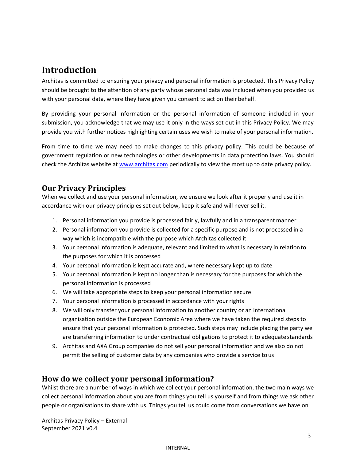## <span id="page-2-0"></span>**Introduction**

Architas is committed to ensuring your privacy and personal information is protected. This Privacy Policy should be brought to the attention of any party whose personal data was included when you provided us with your personal data, where they have given you consent to act on their behalf.

By providing your personal information or the personal information of someone included in your submission, you acknowledge that we may use it only in the ways set out in this Privacy Policy. We may provide you with further notices highlighting certain uses we wish to make of your personal information.

From time to time we may need to make changes to this privacy policy. This could be because of government regulation or new technologies or other developments in data protection laws. You should check the Architas website at [www.architas.com](http://www.architas.com/) periodically to view the most up to date privacy policy.

## <span id="page-2-1"></span>**Our Privacy Principles**

When we collect and use your personal information, we ensure we look after it properly and use it in accordance with our privacy principles set out below, keep it safe and will never sell it.

- 1. Personal information you provide is processed fairly, lawfully and in a transparent manner
- 2. Personal information you provide is collected for a specific purpose and is not processed in a way which is incompatible with the purpose which Architas collected it
- 3. Your personal information is adequate, relevant and limited to what is necessary in relationto the purposes for which it is processed
- 4. Your personal information is kept accurate and, where necessary kept up to date
- 5. Your personal information is kept no longer than is necessary for the purposes for which the personal information is processed
- 6. We will take appropriate steps to keep your personal information secure
- 7. Your personal information is processed in accordance with your rights
- 8. We will only transfer your personal information to another country or an international organisation outside the European Economic Area where we have taken the required steps to ensure that your personal information is protected. Such steps may include placing the party we are transferring information to under contractual obligations to protect it to adequate standards
- 9. Architas and AXA Group companies do not sell your personal information and we also do not permit the selling of customer data by any companies who provide a service to us

## <span id="page-2-2"></span>**How do we collect your personal information?**

Whilst there are a number of ways in which we collect your personal information, the two main ways we collect personal information about you are from things you tell us yourself and from things we ask other people or organisations to share with us. Things you tell us could come from conversations we have on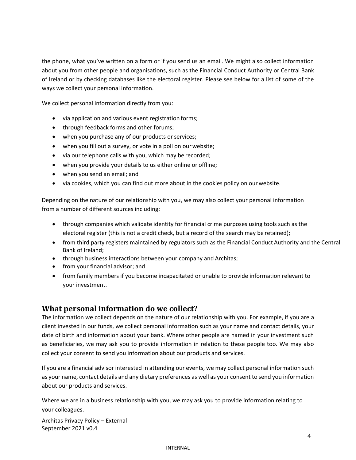the phone, what you've written on a form or if you send us an email. We might also collect information about you from other people and organisations, such as the Financial Conduct Authority or Central Bank of Ireland or by checking databases like the electoral register. Please see below for a list of some of the ways we collect your personal information.

We collect personal information directly from you:

- via application and various event registration forms;
- through feedback forms and other forums;
- when you purchase any of our products or services;
- when you fill out a survey, or vote in a poll on ourwebsite;
- via our telephone calls with you, which may be recorded;
- when you provide your details to us either online or offline;
- when you send an email; and
- via cookies, which you can find out more about in the cookies policy on ourwebsite.

Depending on the nature of our relationship with you, we may also collect your personal information from a number of different sources including:

- through companies which validate identity for financial crime purposes using tools such as the electoral register (this is not a credit check, but a record of the search may be retained);
- from third party registers maintained by regulators such as the Financial Conduct Authority and the Central Bank of Ireland;
- through business interactions between your company and Architas;
- from your financial advisor; and
- from family members if you become incapacitated or unable to provide information relevant to your investment.

## <span id="page-3-0"></span>**What personal information do we collect?**

The information we collect depends on the nature of our relationship with you. For example, if you are a client invested in our funds, we collect personal information such as your name and contact details, your date of birth and information about your bank. Where other people are named in your investment such as beneficiaries, we may ask you to provide information in relation to these people too. We may also collect your consent to send you information about our products and services.

If you are a financial advisor interested in attending our events, we may collect personal information such as your name, contact details and any dietary preferences as well as your consent to send you information about our products and services.

Where we are in a business relationship with you, we may ask you to provide information relating to your colleagues.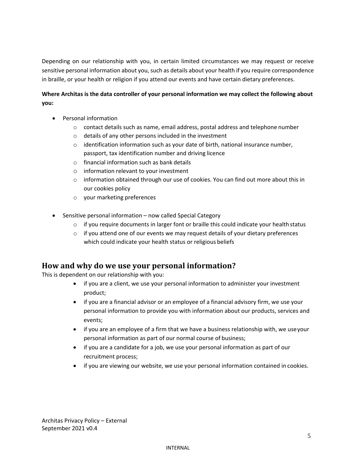Depending on our relationship with you, in certain limited circumstances we may request or receive sensitive personal information about you, such as details about your health if you require correspondence in braille, or your health or religion if you attend our events and have certain dietary preferences.

#### **Where Architas is the data controller of your personal information we may collect the following about you:**

- Personal information
	- $\circ$  contact details such as name, email address, postal address and telephone number
	- o details of any other persons included in the investment
	- $\circ$  identification information such as your date of birth, national insurance number, passport, tax identification number and driving licence
	- o financial information such as bank details
	- o information relevant to your investment
	- $\circ$  information obtained through our use of cookies. You can find out more about this in our cookies policy
	- o your marketing preferences
- Sensitive personal information now called Special Category
	- $\circ$  if you require documents in larger font or braille this could indicate your health status
	- $\circ$  if you attend one of our events we may request details of your dietary preferences which could indicate your health status or religious beliefs

### <span id="page-4-0"></span>**How and why do we use your personal information?**

This is dependent on our relationship with you:

- if you are a client, we use your personal information to administer your investment product;
- if you are a financial advisor or an employee of a financial advisory firm, we use your personal information to provide you with information about our products, services and events;
- if you are an employee of a firm that we have a business relationship with, we useyour personal information as part of our normal course of business;
- if you are a candidate for a job, we use your personal information as part of our recruitment process;
- if you are viewing our website, we use your personal information contained in cookies.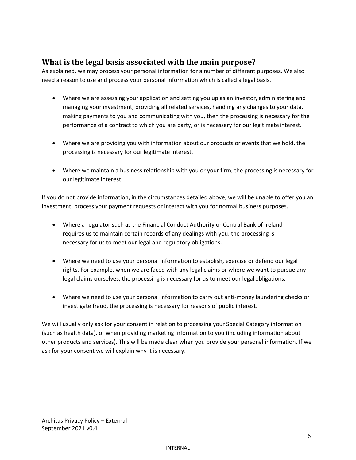## <span id="page-5-0"></span>**What is the legal basis associated with the main purpose?**

As explained, we may process your personal information for a number of different purposes. We also need a reason to use and process your personal information which is called a legal basis.

- Where we are assessing your application and setting you up as an investor, administering and managing your investment, providing all related services, handling any changes to your data, making payments to you and communicating with you, then the processing is necessary for the performance of a contract to which you are party, or is necessary for our legitimate interest.
- Where we are providing you with information about our products or events that we hold, the processing is necessary for our legitimate interest.
- Where we maintain a business relationship with you or your firm, the processing is necessary for our legitimate interest.

If you do not provide information, in the circumstances detailed above, we will be unable to offer you an investment, process your payment requests or interact with you for normal business purposes.

- Where a regulator such as the Financial Conduct Authority or Central Bank of Ireland requires us to maintain certain records of any dealings with you, the processing is necessary for us to meet our legal and regulatory obligations.
- Where we need to use your personal information to establish, exercise or defend our legal rights. For example, when we are faced with any legal claims or where we want to pursue any legal claims ourselves, the processing is necessary for us to meet our legal obligations.
- Where we need to use your personal information to carry out anti-money laundering checks or investigate fraud, the processing is necessary for reasons of public interest.

We will usually only ask for your consent in relation to processing your Special Category information (such as health data), or when providing marketing information to you (including information about other products and services). This will be made clear when you provide your personal information. If we ask for your consent we will explain why it is necessary.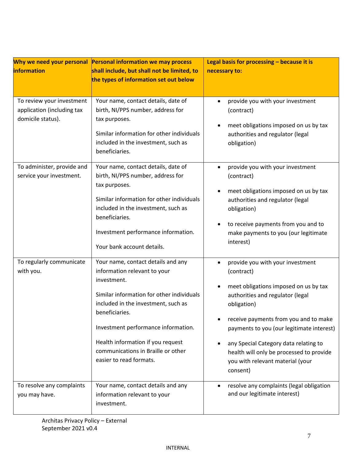| Why we need your personal                                                    | <b>Personal information we may process</b>                                                                                                                                                                                                                                                                                           | Legal basis for processing $-$ because it is                                                                                                                                                                                                                                                                                                                          |  |
|------------------------------------------------------------------------------|--------------------------------------------------------------------------------------------------------------------------------------------------------------------------------------------------------------------------------------------------------------------------------------------------------------------------------------|-----------------------------------------------------------------------------------------------------------------------------------------------------------------------------------------------------------------------------------------------------------------------------------------------------------------------------------------------------------------------|--|
| <i><b>information</b></i>                                                    | shall include, but shall not be limited, to                                                                                                                                                                                                                                                                                          | necessary to:                                                                                                                                                                                                                                                                                                                                                         |  |
|                                                                              | the types of information set out below                                                                                                                                                                                                                                                                                               |                                                                                                                                                                                                                                                                                                                                                                       |  |
|                                                                              |                                                                                                                                                                                                                                                                                                                                      |                                                                                                                                                                                                                                                                                                                                                                       |  |
| To review your investment<br>application (including tax<br>domicile status). | Your name, contact details, date of<br>birth, NI/PPS number, address for<br>tax purposes.<br>Similar information for other individuals<br>included in the investment, such as<br>beneficiaries.                                                                                                                                      | provide you with your investment<br>(contract)<br>meet obligations imposed on us by tax<br>authorities and regulator (legal<br>obligation)                                                                                                                                                                                                                            |  |
| To administer, provide and<br>service your investment.                       | Your name, contact details, date of<br>birth, NI/PPS number, address for<br>tax purposes.<br>Similar information for other individuals<br>included in the investment, such as<br>beneficiaries.<br>Investment performance information.<br>Your bank account details.                                                                 | provide you with your investment<br>(contract)<br>meet obligations imposed on us by tax<br>authorities and regulator (legal<br>obligation)<br>to receive payments from you and to<br>make payments to you (our legitimate<br>interest)                                                                                                                                |  |
| To regularly communicate<br>with you.                                        | Your name, contact details and any<br>information relevant to your<br>investment.<br>Similar information for other individuals<br>included in the investment, such as<br>beneficiaries.<br>Investment performance information.<br>Health information if you request<br>communications in Braille or other<br>easier to read formats. | provide you with your investment<br>(contract)<br>meet obligations imposed on us by tax<br>authorities and regulator (legal<br>obligation)<br>receive payments from you and to make<br>payments to you (our legitimate interest)<br>any Special Category data relating to<br>health will only be processed to provide<br>you with relevant material (your<br>consent) |  |
| To resolve any complaints<br>you may have.                                   | Your name, contact details and any<br>information relevant to your<br>investment.                                                                                                                                                                                                                                                    | resolve any complaints (legal obligation<br>and our legitimate interest)                                                                                                                                                                                                                                                                                              |  |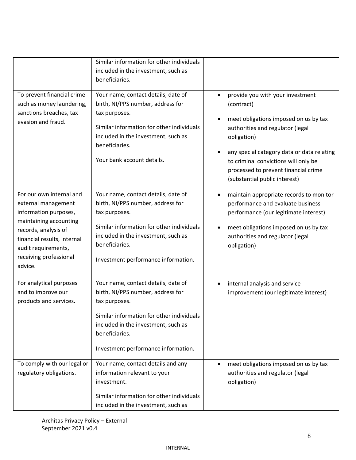| To prevent financial crime                                                                                                                                                                                            | Similar information for other individuals<br>included in the investment, such as<br>beneficiaries.<br>Your name, contact details, date of                                                                                              | provide you with your investment                                                                                                                                                                                                                                      |
|-----------------------------------------------------------------------------------------------------------------------------------------------------------------------------------------------------------------------|----------------------------------------------------------------------------------------------------------------------------------------------------------------------------------------------------------------------------------------|-----------------------------------------------------------------------------------------------------------------------------------------------------------------------------------------------------------------------------------------------------------------------|
| such as money laundering,<br>sanctions breaches, tax<br>evasion and fraud.                                                                                                                                            | birth, NI/PPS number, address for<br>tax purposes.<br>Similar information for other individuals<br>included in the investment, such as<br>beneficiaries.<br>Your bank account details.                                                 | (contract)<br>meet obligations imposed on us by tax<br>authorities and regulator (legal<br>obligation)<br>any special category data or data relating<br>to criminal convictions will only be<br>processed to prevent financial crime<br>(substantial public interest) |
| For our own internal and<br>external management<br>information purposes,<br>maintaining accounting<br>records, analysis of<br>financial results, internal<br>audit requirements,<br>receiving professional<br>advice. | Your name, contact details, date of<br>birth, NI/PPS number, address for<br>tax purposes.<br>Similar information for other individuals<br>included in the investment, such as<br>beneficiaries.<br>Investment performance information. | maintain appropriate records to monitor<br>$\bullet$<br>performance and evaluate business<br>performance (our legitimate interest)<br>meet obligations imposed on us by tax<br>authorities and regulator (legal<br>obligation)                                        |
| For analytical purposes<br>and to improve our<br>products and services.                                                                                                                                               | Your name, contact details, date of<br>birth, NI/PPS number, address for<br>tax purposes.<br>Similar information for other individuals<br>included in the investment, such as<br>beneficiaries.<br>Investment performance information. | internal analysis and service<br>$\bullet$<br>improvement (our legitimate interest)                                                                                                                                                                                   |
| To comply with our legal or<br>regulatory obligations.                                                                                                                                                                | Your name, contact details and any<br>information relevant to your<br>investment.<br>Similar information for other individuals<br>included in the investment, such as                                                                  | meet obligations imposed on us by tax<br>authorities and regulator (legal<br>obligation)                                                                                                                                                                              |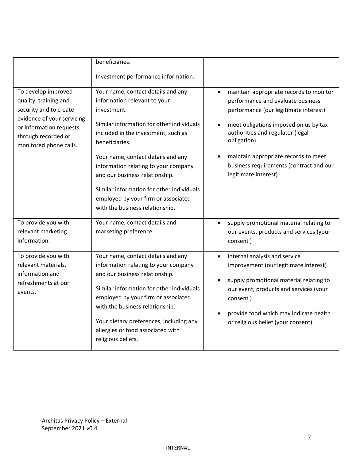|                                                                                                                                                                                  | beneficiaries.                                                                                                                                                                                                                                                                                                                                                                                                                 |                                                                                                                                                                                                                                                                                                                                           |
|----------------------------------------------------------------------------------------------------------------------------------------------------------------------------------|--------------------------------------------------------------------------------------------------------------------------------------------------------------------------------------------------------------------------------------------------------------------------------------------------------------------------------------------------------------------------------------------------------------------------------|-------------------------------------------------------------------------------------------------------------------------------------------------------------------------------------------------------------------------------------------------------------------------------------------------------------------------------------------|
|                                                                                                                                                                                  | Investment performance information.                                                                                                                                                                                                                                                                                                                                                                                            |                                                                                                                                                                                                                                                                                                                                           |
| To develop improved<br>quality, training and<br>security and to create<br>evidence of your servicing<br>or information requests<br>through recorded or<br>monitored phone calls. | Your name, contact details and any<br>information relevant to your<br>investment.<br>Similar information for other individuals<br>included in the investment, such as<br>beneficiaries.<br>Your name, contact details and any<br>information relating to your company<br>and our business relationship.<br>Similar information for other individuals<br>employed by your firm or associated<br>with the business relationship. | maintain appropriate records to monitor<br>$\bullet$<br>performance and evaluate business<br>performance (our legitimate interest)<br>meet obligations imposed on us by tax<br>authorities and regulator (legal<br>obligation)<br>maintain appropriate records to meet<br>business requirements (contract and our<br>legitimate interest) |
| To provide you with<br>relevant marketing<br>information.                                                                                                                        | Your name, contact details and<br>marketing preference.                                                                                                                                                                                                                                                                                                                                                                        | supply promotional material relating to<br>$\bullet$<br>our events, products and services (your<br>consent)                                                                                                                                                                                                                               |
| To provide you with<br>relevant materials,<br>information and<br>refreshments at our<br>events.                                                                                  | Your name, contact details and any<br>information relating to your company<br>and our business relationship.<br>Similar information for other individuals<br>employed by your firm or associated<br>with the business relationship.<br>Your dietary preferences, including any<br>allergies or food associated with<br>religious beliefs.                                                                                      | internal analysis and service<br>$\bullet$<br>improvement (our legitimate interest)<br>supply promotional material relating to<br>our event, products and services (your<br>consent)<br>provide food which may indicate health<br>or religious belief (your consent)                                                                      |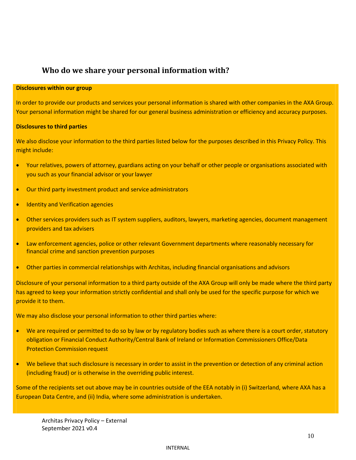## **Who do we share your personal information with?**

#### <span id="page-9-0"></span>**Disclosures within our group**

In order to provide our products and services your personal information is shared with other companies in the AXA Group. Your personal information might be shared for our general business administration or efficiency and accuracy purposes.

#### **Disclosures to third parties**

We also disclose your information to the third parties listed below for the purposes described in this Privacy Policy. This might include:

- Your relatives, powers of attorney, guardians acting on your behalf or other people or organisations associated with you such as your financial advisor or your lawyer
- Our third party investment product and service administrators
- Identity and Verification agencies
- Other services providers such as IT system suppliers, auditors, lawyers, marketing agencies, document management providers and tax advisers
- Law enforcement agencies, police or other relevant Government departments where reasonably necessary for financial crime and sanction prevention purposes
- Other parties in commercial relationships with Architas, including financial organisations and advisors

Disclosure of your personal information to a third party outside of the AXA Group will only be made where the third party has agreed to keep your information strictly confidential and shall only be used for the specific purpose for which we provide it to them.

We may also disclose your personal information to other third parties where:

- We are required or permitted to do so by law or by regulatory bodies such as where there is a court order, statutory obligation or Financial Conduct Authority/Central Bank of Ireland or Information Commissioners Office/Data Protection Commission request
- We believe that such disclosure is necessary in order to assist in the prevention or detection of any criminal action (including fraud) or is otherwise in the overriding public interest.

Some of the recipients set out above may be in countries outside of the EEA notably in (i) Switzerland, where AXA has a European Data Centre, and (ii) India, where some administration is undertaken.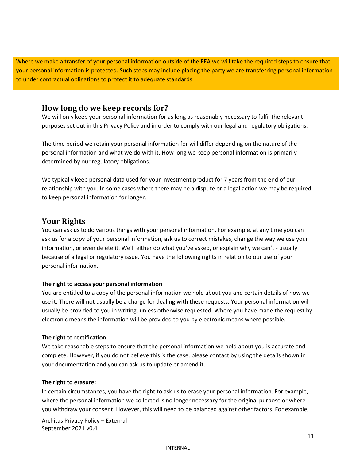Where we make a transfer of your personal information outside of the EEA we will take the required steps to ensure that your personal information is protected. Such steps may include placing the party we are transferring personal information to under contractual obligations to protect it to adequate standards.

## <span id="page-10-0"></span>**How long do we keep records for?**

We will only keep your personal information for as long as reasonably necessary to fulfil the relevant purposes set out in this Privacy Policy and in order to comply with our legal and regulatory obligations.

The time period we retain your personal information for will differ depending on the nature of the personal information and what we do with it. How long we keep personal information is primarily determined by our regulatory obligations.

We typically keep personal data used for your investment product for 7 years from the end of our relationship with you. In some cases where there may be a dispute or a legal action we may be required to keep personal information for longer.

## <span id="page-10-1"></span>**Your Rights**

You can ask us to do various things with your personal information. For example, at any time you can ask us for a copy of your personal information, ask us to correct mistakes, change the way we use your information, or even delete it. We'll either do what you've asked, or explain why we can't - usually because of a legal or regulatory issue. You have the following rights in relation to our use of your personal information.

#### **The right to access your personal information**

You are entitled to a copy of the personal information we hold about you and certain details of how we use it. There will not usually be a charge for dealing with these requests**.** Your personal information will usually be provided to you in writing, unless otherwise requested. Where you have made the request by electronic means the information will be provided to you by electronic means where possible.

#### **The right to rectification**

We take reasonable steps to ensure that the personal information we hold about you is accurate and complete. However, if you do not believe this is the case, please contact by using the details shown in your documentation and you can ask us to update or amend it.

#### **The right to erasure:**

In certain circumstances, you have the right to ask us to erase your personal information. For example, where the personal information we collected is no longer necessary for the original purpose or where you withdraw your consent. However, this will need to be balanced against other factors. For example,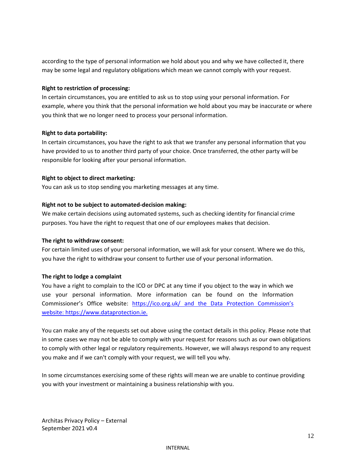according to the type of personal information we hold about you and why we have collected it, there may be some legal and regulatory obligations which mean we cannot comply with your request.

#### **Right to restriction of processing:**

In certain circumstances, you are entitled to ask us to stop using your personal information. For example, where you think that the personal information we hold about you may be inaccurate or where you think that we no longer need to process your personal information.

#### **Right to data portability:**

In certain circumstances, you have the right to ask that we transfer any personal information that you have provided to us to another third party of your choice. Once transferred, the other party will be responsible for looking after your personal information.

#### **Right to object to direct marketing:**

You can ask us to stop sending you marketing messages at any time.

#### **Right not to be subject to automated-decision making:**

We make certain decisions using automated systems, such as checking identity for financial crime purposes. You have the right to request that one of our employees makes that decision.

#### **The right to withdraw consent:**

For certain limited uses of your personal information, we will ask for your consent. Where we do this, you have the right to withdraw your consent to further use of your personal information.

#### **The right to lodge a complaint**

You have a right to complain to the ICO or DPC at any time if you object to the way in which we use your personal information. More information can be found on the Information Commissioner's Office website: <https://ico.org.uk/> and the Data Protection Commission's website: [https://www.dataprotection.ie.](https://www.dataprotection.ie./)

You can make any of the requests set out above using the contact details in this policy. Please note that in some cases we may not be able to comply with your request for reasons such as our own obligations to comply with other legal or regulatory requirements. However, we will always respond to any request you make and if we can't comply with your request, we will tell you why.

In some circumstances exercising some of these rights will mean we are unable to continue providing you with your investment or maintaining a business relationship with you.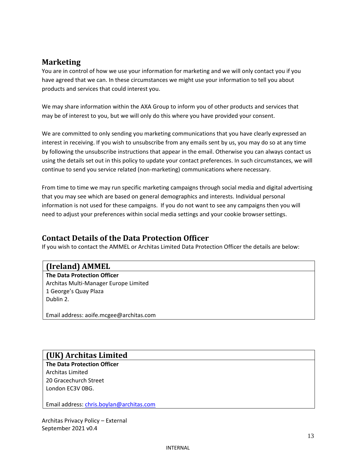## <span id="page-12-0"></span>**Marketing**

You are in control of how we use your information for marketing and we will only contact you if you have agreed that we can. In these circumstances we might use your information to tell you about products and services that could interest you.

We may share information within the AXA Group to inform you of other products and services that may be of interest to you, but we will only do this where you have provided your consent.

We are committed to only sending you marketing communications that you have clearly expressed an interest in receiving. If you wish to unsubscribe from any emails sent by us, you may do so at any time by following the unsubscribe instructions that appear in the email. Otherwise you can always contact us using the details set out in this policy to update your contact preferences. In such circumstances, we will continue to send you service related (non-marketing) communications where necessary.

From time to time we may run specific marketing campaigns through social media and digital advertising that you may see which are based on general demographics and interests. Individual personal information is not used for these campaigns. If you do not want to see any campaigns then you will need to adjust your preferences within social media settings and your cookie browsersettings.

## <span id="page-12-1"></span>**Contact Details of the Data Protection Officer**

If you wish to contact the AMMEL or Architas Limited Data Protection Officer the details are below:

## **(Ireland) AMMEL**

**The Data Protection Officer** Architas Multi-Manager Europe Limited 1 George's Quay Plaza Dublin 2.

Email address: [aoife.mcgee@architas.com](mailto:financialcrime.uk@architas.com)

## **(UK) Architas Limited**

**The Data Protection Officer** Architas Limited 20 Gracechurch Street London EC3V 0BG.

Email address: [chris.boylan@architas.com](mailto:chris.boylan@architas.com)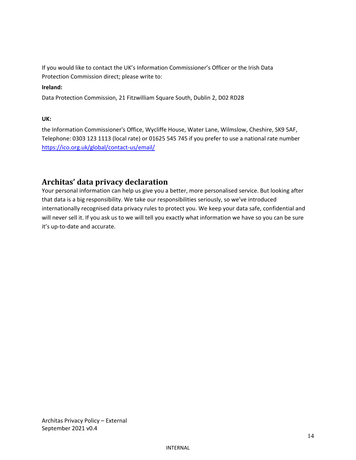If you would like to contact the UK's Information Commissioner's Officer or the Irish Data Protection Commission direct; please write to:

#### **Ireland:**

Data Protection Commission, 21 Fitzwilliam Square South, Dublin 2, D02 RD28

#### **UK:**

the Information Commissioner's Office, Wycliffe House, Water Lane, Wilmslow, Cheshire, SK9 5AF, Telephone: 0303 123 1113 (local rate) or 01625 545 745 if you prefer to use a national rate number [https://ico.org.uk/global/contact-us/email/](https://ico.org.uk/global/contact-us/email)

## <span id="page-13-0"></span>**Architas' data privacy declaration**

Your personal information can help us give you a better, more personalised service. But looking after that data is a big responsibility. We take our responsibilities seriously, so we've introduced internationally recognised data privacy rules to protect you. We keep your data safe, confidential and will never sell it. If you ask us to we will tell you exactly what information we have so you can be sure it's up-to-date and accurate.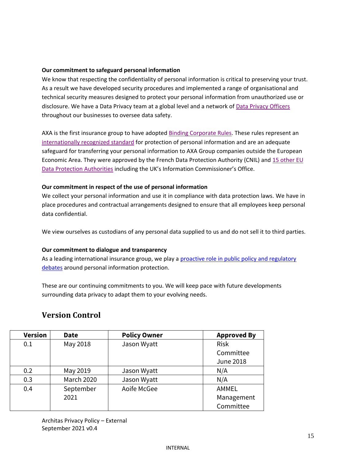#### **Our commitment to safeguard personal information**

We know that respecting the confidentiality of personal information is critical to preserving your trust. As a result we have developed security procedures and implemented a range of organisational and technical security measures designed to protect your personal information from unauthorized use or disclosure. We have a Data Privacy team at a global level and a network of [Data Privacy Officers](https://www.axa.com/en/about-us/faq) throughout our businesses to oversee data safety.

AXA is the first insurance group to have adopted [Binding Corporate Rules.](https://www.axa.com/en/about-us/cyber-data-privacy#tab=our-commitments) These rules represent an [internationally recognized standard](https://www.axa.com/en/about-us/cyber-data-privacy#tab=our-commitments) for protection of personal information and are an adequate safeguard for transferring your personal information to AXA Group companies outside the European Economic Area. They were approved by the French Data Protection Authority (CNIL) and [15 other EU](https://www.axa.com/en/about-us/cyber-data-privacy#tab=our-commitments) [Data Protection Authorities](http://www.axa.com/en/governance/data-privacy/our-commitments/faq/) including the UK's Information Commissioner's Office.

#### **Our commitment in respect of the use of personal information**

We collect your personal information and use it in compliance with data protection laws. We have in place procedures and contractual arrangements designed to ensure that all employees keep personal data confidential.

We view ourselves as custodians of any personal data supplied to us and do not sell it to third parties.

#### **Our commitment to dialogue and transparency**

As a leading international insurance group, we play a [proactive role in public policy and regulatory](https://www.axa.com/en/about-us/cyber-data-privacy#tab=our-commitments) [debates](http://www.axa.com/en/governance/data-privacy/our-commitments/faq/) around personal information protection.

These are our continuing commitments to you. We will keep pace with future developments surrounding data privacy to adapt them to your evolving needs.

## **Version Control**

| <b>Version</b> | <b>Date</b> | <b>Policy Owner</b> | <b>Approved By</b> |
|----------------|-------------|---------------------|--------------------|
| 0.1            | May 2018    | Jason Wyatt         | <b>Risk</b>        |
|                |             |                     | Committee          |
|                |             |                     | <b>June 2018</b>   |
| 0.2            | May 2019    | Jason Wyatt         | N/A                |
| 0.3            | March 2020  | Jason Wyatt         | N/A                |
| 0.4            | September   | Aoife McGee         | AMMEL              |
|                | 2021        |                     | Management         |
|                |             |                     | Committee          |